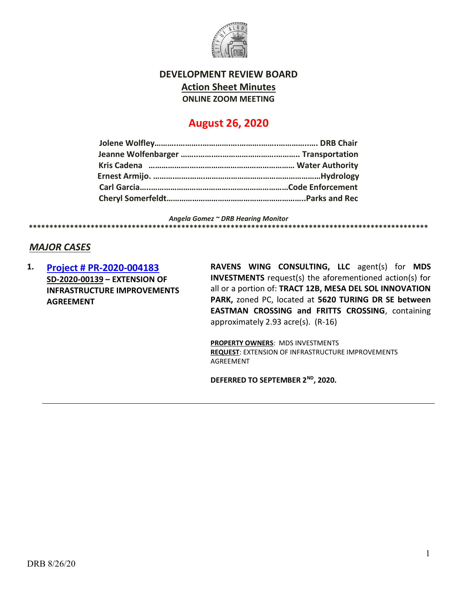

## DEVELOPMENT REVIEW BOARD Action Sheet Minutes ONLINE ZOOM MEETING

# August 26, 2020

Angela Gomez ~ DRB Hearing Monitor \*\*\*\*\*\*\*\*\*\*\*\*\*\*\*\*\*\*\*\*\*\*\*\*\*\*\*\*\*\*\*\*\*\*\*\*\*\*\*\*\*\*\*\*\*\*\*\*\*\*\*\*\*\*\*\*\*\*\*\*\*\*\*\*\*\*\*\*\*\*\*\*\*\*\*\*\*\*\*\*\*\*\*\*\*\*\*\*\*\*\*\*\*\*\*\*\*

### MAJOR CASES

1. Project # PR-2020-004183 SD-2020-00139 – EXTENSION OF INFRASTRUCTURE IMPROVEMENTS AGREEMENT

RAVENS WING CONSULTING, LLC agent(s) for MDS INVESTMENTS request(s) the aforementioned action(s) for all or a portion of: TRACT 12B, MESA DEL SOL INNOVATION PARK, zoned PC, located at 5620 TURING DR SE between EASTMAN CROSSING and FRITTS CROSSING, containing approximately 2.93 acre(s). (R-16)

PROPERTY OWNERS: MDS INVESTMENTS REQUEST: EXTENSION OF INFRASTRUCTURE IMPROVEMENTS AGREEMENT

DEFERRED TO SEPTEMBER 2ND, 2020.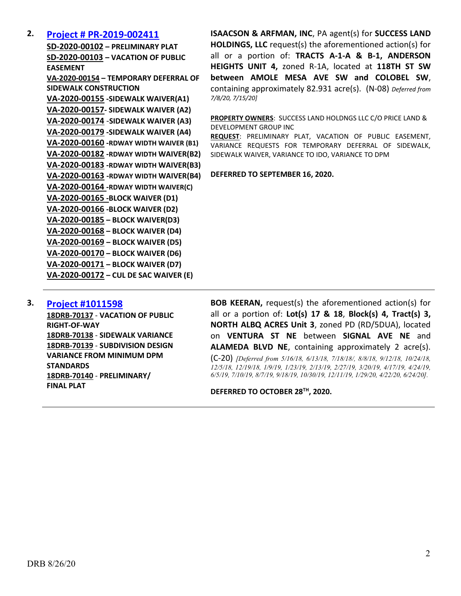### 2. Project # PR-2019-002411

SD-2020-00102 – PRELIMINARY PLAT SD-2020-00103 – VACATION OF PUBLIC EASEMENT VA-2020-00154 – TEMPORARY DEFERRAL OF SIDEWALK CONSTRUCTION VA-2020-00155 -SIDEWALK WAIVER(A1) VA-2020-00157- SIDEWALK WAIVER (A2) VA-2020-00174 -SIDEWALK WAIVER (A3) VA-2020-00179 -SIDEWALK WAIVER (A4) VA-2020-00160 -RDWAY WIDTH WAIVER (B1) VA-2020-00182 -RDWAY WIDTH WAIVER(B2) VA-2020-00183 -RDWAY WIDTH WAIVER(B3) VA-2020-00163 -RDWAY WIDTH WAIVER(B4) VA-2020-00164 -RDWAY WIDTH WAIVER(C) VA-2020-00165 -BLOCK WAIVER (D1) VA-2020-00166 -BLOCK WAIVER (D2) VA-2020-00185 – BLOCK WAIVER(D3) VA-2020-00168 – BLOCK WAIVER (D4) VA-2020-00169 – BLOCK WAIVER (D5) VA-2020-00170 – BLOCK WAIVER (D6) VA-2020-00171 – BLOCK WAIVER (D7) VA-2020-00172 – CUL DE SAC WAIVER (E)

ISAACSON & ARFMAN, INC, PA agent(s) for SUCCESS LAND HOLDINGS, LLC request(s) the aforementioned action(s) for all or a portion of: TRACTS A-1-A & B-1, ANDERSON HEIGHTS UNIT 4, zoned R-1A, located at 118TH ST SW between AMOLE MESA AVE SW and COLOBEL SW, containing approximately 82.931 acre(s). (N-08) Deferred from 7/8/20, 7/15/20]

PROPERTY OWNERS: SUCCESS LAND HOLDNGS LLC C/O PRICE LAND & DEVELOPMENT GROUP INC

REQUEST: PRELIMINARY PLAT, VACATION OF PUBLIC EASEMENT, VARIANCE REQUESTS FOR TEMPORARY DEFERRAL OF SIDEWALK, SIDEWALK WAIVER, VARIANCE TO IDO, VARIANCE TO DPM

#### DEFERRED TO SEPTEMBER 16, 2020.

#### 3. Project #1011598

18DRB-70137 - VACATION OF PUBLIC RIGHT-OF-WAY 18DRB-70138 - SIDEWALK VARIANCE 18DRB-70139 - SUBDIVISION DESIGN VARIANCE FROM MINIMUM DPM **STANDARDS** 18DRB-70140 - PRELIMINARY/ FINAL PLAT

BOB KEERAN, request(s) the aforementioned action(s) for all or a portion of: Lot(s) 17 & 18, Block(s) 4, Tract(s) 3, NORTH ALBQ ACRES Unit 3, zoned PD (RD/5DUA), located on VENTURA ST NE between SIGNAL AVE NE and ALAMEDA BLVD NE, containing approximately 2 acre(s). (C-20) [Deferred from 5/16/18, 6/13/18, 7/18/18/, 8/8/18, 9/12/18, 10/24/18, 12/5/18, 12/19/18, 1/9/19, 1/23/19, 2/13/19, 2/27/19, 3/20/19, 4/17/19, 4/24/19, 6/5/19, 7/10/19, 8/7/19, 9/18/19, 10/30/19, 12/11/19, 1/29/20, 4/22/20, 6/24/20].

DEFERRED TO OCTOBER 28TH, 2020.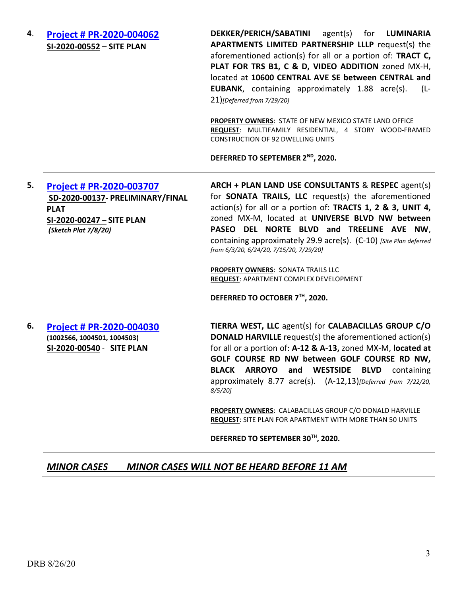4. Project # PR-2020-004062 SI-2020-00552 – SITE PLAN

DEKKER/PERICH/SABATINI agent(s) for LUMINARIA APARTMENTS LIMITED PARTNERSHIP LLLP request(s) the aforementioned action(s) for all or a portion of: TRACT C, PLAT FOR TRS B1, C & D, VIDEO ADDITION zoned MX-H, located at 10600 CENTRAL AVE SE between CENTRAL and EUBANK, containing approximately 1.88 acre(s). (L-21)[Deferred from 7/29/20]

PROPERTY OWNERS: STATE OF NEW MEXICO STATE LAND OFFICE REQUEST: MULTIFAMILY RESIDENTIAL, 4 STORY WOOD-FRAMED CONSTRUCTION OF 92 DWELLING UNITS

DEFERRED TO SEPTEMBER 2<sup>ND</sup>, 2020.

### 5. Project # PR-2020-003707 SD-2020-00137- PRELIMINARY/FINAL PLAT SI-2020-00247 – SITE PLAN (Sketch Plat 7/8/20)

ARCH + PLAN LAND USE CONSULTANTS & RESPEC agent(s) for SONATA TRAILS, LLC request(s) the aforementioned action(s) for all or a portion of: TRACTS 1, 2 & 3, UNIT 4, zoned MX-M, located at UNIVERSE BLVD NW between PASEO DEL NORTE BLVD and TREELINE AVE NW, containing approximately 29.9 acre(s). (C-10) [Site Plan deferred from 6/3/20, 6/24/20, 7/15/20, 7/29/20]

PROPERTY OWNERS: SONATA TRAILS LLC REQUEST: APARTMENT COMPLEX DEVELOPMENT

DEFERRED TO OCTOBER 7TH, 2020.

6. Project # PR-2020-004030 (1002566, 1004501, 1004503) SI-2020-00540 - SITE PLAN

TIERRA WEST, LLC agent(s) for CALABACILLAS GROUP C/O DONALD HARVILLE request(s) the aforementioned action(s) for all or a portion of: A-12 & A-13, zoned MX-M, located at GOLF COURSE RD NW between GOLF COURSE RD NW, BLACK ARROYO and WESTSIDE BLVD containing approximately 8.77 acre(s). (A-12,13)[Deferred from 7/22/20, 8/5/20]

PROPERTY OWNERS: CALABACILLAS GROUP C/O DONALD HARVILLE REQUEST: SITE PLAN FOR APARTMENT WITH MORE THAN 50 UNITS

DEFERRED TO SEPTEMBER 30TH, 2020.

### MINOR CASES MINOR CASES WILL NOT BE HEARD BEFORE 11 AM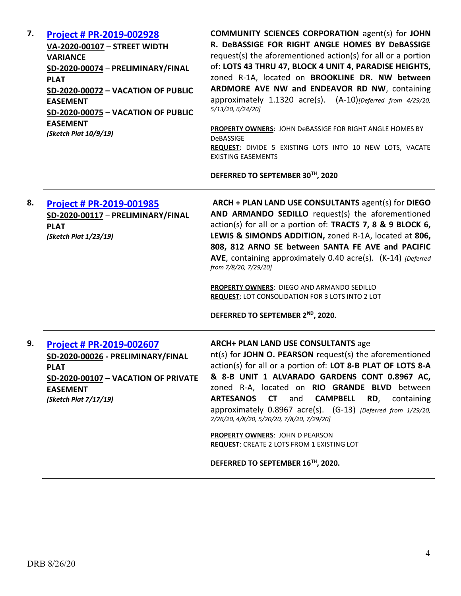| 7. | <b>Project # PR-2019-002928</b><br>VA-2020-00107 - STREET WIDTH<br><b>VARIANCE</b><br>SD-2020-00074 - PRELIMINARY/FINAL<br><b>PLAT</b><br><b>SD-2020-00072 - VACATION OF PUBLIC</b><br><b>EASEMENT</b><br>SD-2020-00075 - VACATION OF PUBLIC<br><b>EASEMENT</b><br>(Sketch Plat 10/9/19) | <b>COMMUNITY SCIENCES CORPORATION agent(s) for JOHN</b><br>R. DeBASSIGE FOR RIGHT ANGLE HOMES BY DeBASSIGE<br>request(s) the aforementioned action(s) for all or a portion<br>of: LOTS 43 THRU 47, BLOCK 4 UNIT 4, PARADISE HEIGHTS,<br>zoned R-1A, located on BROOKLINE DR. NW between<br>ARDMORE AVE NW and ENDEAVOR RD NW, containing<br>approximately 1.1320 acre(s). (A-10)[Deferred from 4/29/20,<br>5/13/20, 6/24/20]<br>PROPERTY OWNERS: JOHN DeBASSIGE FOR RIGHT ANGLE HOMES BY<br>DeBASSIGE<br>REQUEST: DIVIDE 5 EXISTING LOTS INTO 10 NEW LOTS, VACATE<br><b>EXISTING EASEMENTS</b><br>DEFERRED TO SEPTEMBER 30TH, 2020 |
|----|------------------------------------------------------------------------------------------------------------------------------------------------------------------------------------------------------------------------------------------------------------------------------------------|------------------------------------------------------------------------------------------------------------------------------------------------------------------------------------------------------------------------------------------------------------------------------------------------------------------------------------------------------------------------------------------------------------------------------------------------------------------------------------------------------------------------------------------------------------------------------------------------------------------------------------|
| 8. | <b>Project # PR-2019-001985</b><br>SD-2020-00117 - PRELIMINARY/FINAL<br><b>PLAT</b><br>(Sketch Plat 1/23/19)                                                                                                                                                                             | ARCH + PLAN LAND USE CONSULTANTS agent(s) for DIEGO<br>AND ARMANDO SEDILLO request(s) the aforementioned<br>action(s) for all or a portion of: TRACTS 7, 8 & 9 BLOCK 6,<br>LEWIS & SIMONDS ADDITION, zoned R-1A, located at 806,<br>808, 812 ARNO SE between SANTA FE AVE and PACIFIC<br>AVE, containing approximately 0.40 acre(s). (K-14) [Deferred<br>from 7/8/20, 7/29/20]<br>PROPERTY OWNERS: DIEGO AND ARMANDO SEDILLO<br>REQUEST: LOT CONSOLIDATION FOR 3 LOTS INTO 2 LOT<br>DEFERRED TO SEPTEMBER 2 <sup>ND</sup> , 2020.                                                                                                  |
| 9. | <b>Project # PR-2019-002607</b><br>SD-2020-00026 - PRELIMINARY/FINAL<br><b>PLAT</b><br>SD-2020-00107 - VACATION OF PRIVATE<br><b>EASEMENT</b><br>(Sketch Plat 7/17/19)                                                                                                                   | <b>ARCH+ PLAN LAND USE CONSULTANTS age</b><br>nt(s) for JOHN O. PEARSON request(s) the aforementioned<br>action(s) for all or a portion of: LOT 8-B PLAT OF LOTS 8-A<br>& 8-B UNIT 1 ALVARADO GARDENS CONT 0.8967 AC,<br>zoned R-A, located on RIO GRANDE BLVD between<br>ARTESANOS CT<br>and<br><b>CAMPBELL</b><br>RD,<br>containing<br>approximately 0.8967 acre(s). (G-13) [Deferred from 1/29/20,<br>2/26/20, 4/8/20, 5/20/20, 7/8/20, 7/29/20]<br>PROPERTY OWNERS: JOHN D PEARSON<br><b>REQUEST: CREATE 2 LOTS FROM 1 EXISTING LOT</b><br>DEFERRED TO SEPTEMBER 16TH, 2020.                                                   |